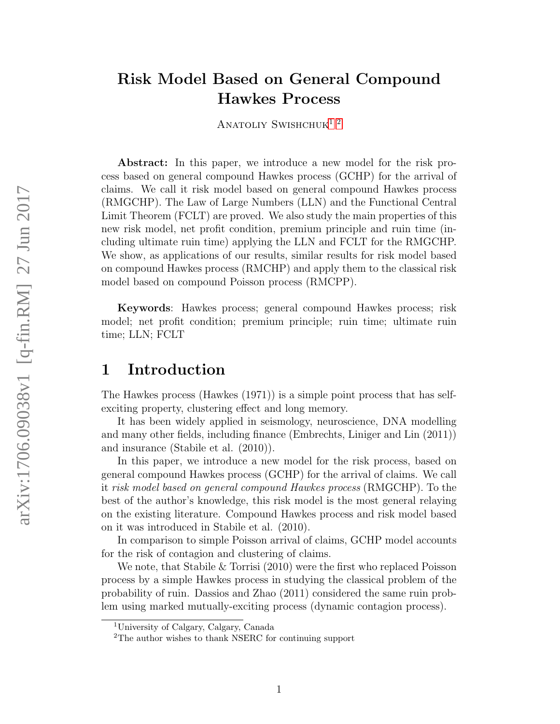# Risk Model Based on General Compound Hawkes Process

ANATOLIY SWISHCHUK<sup>[1](#page-0-0)2</sup>

Abstract: In this paper, we introduce a new model for the risk process based on general compound Hawkes process (GCHP) for the arrival of claims. We call it risk model based on general compound Hawkes process (RMGCHP). The Law of Large Numbers (LLN) and the Functional Central Limit Theorem (FCLT) are proved. We also study the main properties of this new risk model, net profit condition, premium principle and ruin time (including ultimate ruin time) applying the LLN and FCLT for the RMGCHP. We show, as applications of our results, similar results for risk model based on compound Hawkes process (RMCHP) and apply them to the classical risk model based on compound Poisson process (RMCPP).

Keywords: Hawkes process; general compound Hawkes process; risk model; net profit condition; premium principle; ruin time; ultimate ruin time; LLN; FCLT

# 1 Introduction

The Hawkes process (Hawkes (1971)) is a simple point process that has selfexciting property, clustering effect and long memory.

It has been widely applied in seismology, neuroscience, DNA modelling and many other fields, including finance (Embrechts, Liniger and Lin (2011)) and insurance (Stabile et al. (2010)).

In this paper, we introduce a new model for the risk process, based on general compound Hawkes process (GCHP) for the arrival of claims. We call it risk model based on general compound Hawkes process (RMGCHP). To the best of the author's knowledge, this risk model is the most general relaying on the existing literature. Compound Hawkes process and risk model based on it was introduced in Stabile et al. (2010).

In comparison to simple Poisson arrival of claims, GCHP model accounts for the risk of contagion and clustering of claims.

We note, that Stabile & Torrisi (2010) were the first who replaced Poisson process by a simple Hawkes process in studying the classical problem of the probability of ruin. Dassios and Zhao (2011) considered the same ruin problem using marked mutually-exciting process (dynamic contagion process).

<span id="page-0-0"></span><sup>1</sup>University of Calgary, Calgary, Canada

<span id="page-0-1"></span><sup>2</sup>The author wishes to thank NSERC for continuing support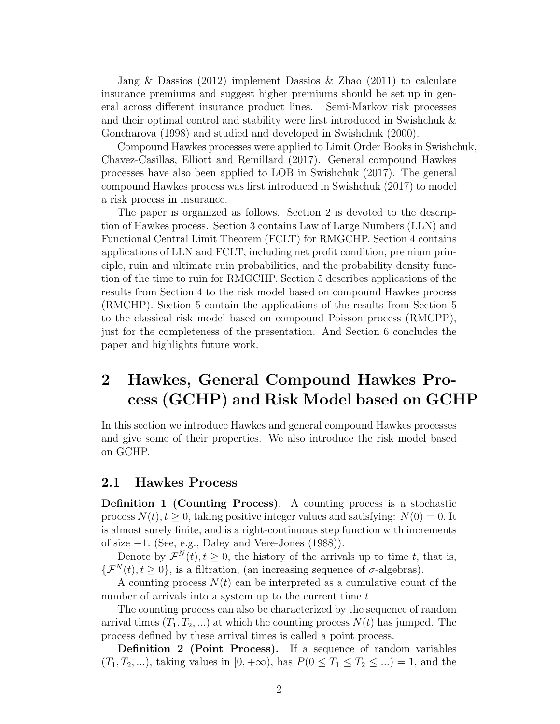Jang & Dassios (2012) implement Dassios & Zhao (2011) to calculate insurance premiums and suggest higher premiums should be set up in general across different insurance product lines. Semi-Markov risk processes and their optimal control and stability were first introduced in Swishchuk & Goncharova (1998) and studied and developed in Swishchuk (2000).

Compound Hawkes processes were applied to Limit Order Books in Swishchuk, Chavez-Casillas, Elliott and Remillard (2017). General compound Hawkes processes have also been applied to LOB in Swishchuk (2017). The general compound Hawkes process was first introduced in Swishchuk (2017) to model a risk process in insurance.

The paper is organized as follows. Section 2 is devoted to the description of Hawkes process. Section 3 contains Law of Large Numbers (LLN) and Functional Central Limit Theorem (FCLT) for RMGCHP. Section 4 contains applications of LLN and FCLT, including net profit condition, premium principle, ruin and ultimate ruin probabilities, and the probability density function of the time to ruin for RMGCHP. Section 5 describes applications of the results from Section 4 to the risk model based on compound Hawkes process (RMCHP). Section 5 contain the applications of the results from Section 5 to the classical risk model based on compound Poisson process (RMCPP), just for the completeness of the presentation. And Section 6 concludes the paper and highlights future work.

# 2 Hawkes, General Compound Hawkes Process (GCHP) and Risk Model based on GCHP

In this section we introduce Hawkes and general compound Hawkes processes and give some of their properties. We also introduce the risk model based on GCHP.

### 2.1 Hawkes Process

Definition 1 (Counting Process). A counting process is a stochastic process  $N(t)$ ,  $t \geq 0$ , taking positive integer values and satisfying:  $N(0) = 0$ . It is almost surely finite, and is a right-continuous step function with increments of size  $+1$ . (See, e.g., Daley and Vere-Jones (1988)).

Denote by  $\mathcal{F}^{N}(t)$ ,  $t \geq 0$ , the history of the arrivals up to time t, that is,  ${\{\mathcal{F}^N(t), t \geq 0\}}$ , is a filtration, (an increasing sequence of  $\sigma$ -algebras).

A counting process  $N(t)$  can be interpreted as a cumulative count of the number of arrivals into a system up to the current time t.

The counting process can also be characterized by the sequence of random arrival times  $(T_1, T_2, ...)$  at which the counting process  $N(t)$  has jumped. The process defined by these arrival times is called a point process.

Definition 2 (Point Process). If a sequence of random variables  $(T_1, T_2, \ldots)$ , taking values in  $[0, +\infty)$ , has  $P(0 \leq T_1 \leq T_2 \leq \ldots) = 1$ , and the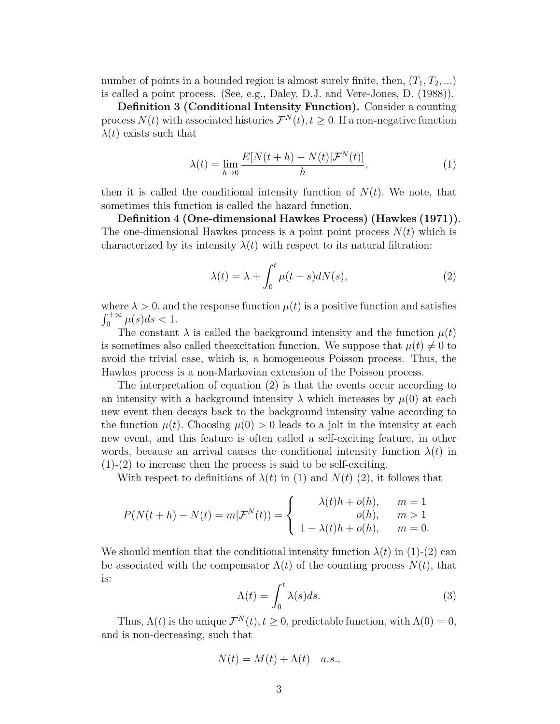number of points in a bounded region is almost surely finite, then,  $(T_1, T_2, ...)$ is called a point process. (See, e.g., Daley, D.J. and Vere-Jones, D. (1988)).

Definition 3 (Conditional Intensity Function). Consider a counting process  $N(t)$  with associated histories  $\mathcal{F}^{N}(t), t \geq 0$ . If a non-negative function  $\lambda(t)$  exists such that

$$
\lambda(t) = \lim_{h \to 0} \frac{E[N(t+h) - N(t)|\mathcal{F}^N(t)]}{h},\tag{1}
$$

then it is called the conditional intensity function of  $N(t)$ . We note, that sometimes this function is called the hazard function.

Definition 4 (One-dimensional Hawkes Process) (Hawkes (1971)). The one-dimensional Hawkes process is a point point process  $N(t)$  which is characterized by its intensity  $\lambda(t)$  with respect to its natural filtration:

$$
\lambda(t) = \lambda + \int_0^t \mu(t - s) dN(s), \qquad (2)
$$

where  $\lambda > 0$ , and the response function  $\mu(t)$  is a positive function and satisfies  $\int_0^{+\infty} \mu(s)ds < 1.$ 

The constant  $\lambda$  is called the background intensity and the function  $\mu(t)$ is sometimes also called the excitation function. We suppose that  $\mu(t) \neq 0$  to avoid the trivial case, which is, a homogeneous Poisson process. Thus, the Hawkes process is a non-Markovian extension of the Poisson process.

The interpretation of equation (2) is that the events occur according to an intensity with a background intensity  $\lambda$  which increases by  $\mu(0)$  at each new event then decays back to the background intensity value according to the function  $\mu(t)$ . Choosing  $\mu(0) > 0$  leads to a jolt in the intensity at each new event, and this feature is often called a self-exciting feature, in other words, because an arrival causes the conditional intensity function  $\lambda(t)$  in  $(1)-(2)$  to increase then the process is said to be self-exciting.

With respect to definitions of  $\lambda(t)$  in (1) and  $N(t)$  (2), it follows that

$$
P(N(t+h) - N(t) = m | \mathcal{F}^N(t)) = \begin{cases} \lambda(t)h + o(h), & m = 1\\ o(h), & m > 1\\ 1 - \lambda(t)h + o(h), & m = 0. \end{cases}
$$

We should mention that the conditional intensity function  $\lambda(t)$  in (1)-(2) can be associated with the compensator  $\Lambda(t)$  of the counting process  $N(t)$ , that is:

$$
\Lambda(t) = \int_0^t \lambda(s)ds.
$$
 (3)

Thus,  $\Lambda(t)$  is the unique  $\mathcal{F}^N(t)$ ,  $t \geq 0$ , predictable function, with  $\Lambda(0) = 0$ , and is non-decreasing, such that

$$
N(t) = M(t) + \Lambda(t) \quad a.s.,
$$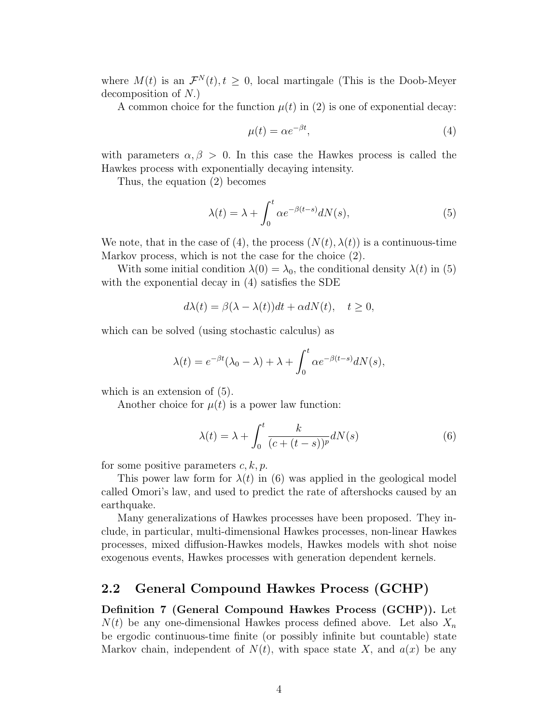where  $M(t)$  is an  $\mathcal{F}^{N}(t), t \geq 0$ , local martingale (This is the Doob-Meyer decomposition of N.)

A common choice for the function  $\mu(t)$  in (2) is one of exponential decay:

$$
\mu(t) = \alpha e^{-\beta t},\tag{4}
$$

with parameters  $\alpha, \beta > 0$ . In this case the Hawkes process is called the Hawkes process with exponentially decaying intensity.

Thus, the equation (2) becomes

$$
\lambda(t) = \lambda + \int_0^t \alpha e^{-\beta(t-s)} dN(s),\tag{5}
$$

We note, that in the case of (4), the process  $(N(t), \lambda(t))$  is a continuous-time Markov process, which is not the case for the choice (2).

With some initial condition  $\lambda(0) = \lambda_0$ , the conditional density  $\lambda(t)$  in (5) with the exponential decay in (4) satisfies the SDE

$$
d\lambda(t) = \beta(\lambda - \lambda(t))dt + \alpha dN(t), \quad t \ge 0,
$$

which can be solved (using stochastic calculus) as

$$
\lambda(t) = e^{-\beta t} (\lambda_0 - \lambda) + \lambda + \int_0^t \alpha e^{-\beta(t-s)} dN(s),
$$

which is an extension of  $(5)$ .

Another choice for  $\mu(t)$  is a power law function:

$$
\lambda(t) = \lambda + \int_0^t \frac{k}{(c + (t - s))^p} dN(s) \tag{6}
$$

for some positive parameters  $c, k, p$ .

This power law form for  $\lambda(t)$  in (6) was applied in the geological model called Omori's law, and used to predict the rate of aftershocks caused by an earthquake.

Many generalizations of Hawkes processes have been proposed. They include, in particular, multi-dimensional Hawkes processes, non-linear Hawkes processes, mixed diffusion-Hawkes models, Hawkes models with shot noise exogenous events, Hawkes processes with generation dependent kernels.

## 2.2 General Compound Hawkes Process (GCHP)

Definition 7 (General Compound Hawkes Process (GCHP)). Let  $N(t)$  be any one-dimensional Hawkes process defined above. Let also  $X_n$ be ergodic continuous-time finite (or possibly infinite but countable) state Markov chain, independent of  $N(t)$ , with space state X, and  $a(x)$  be any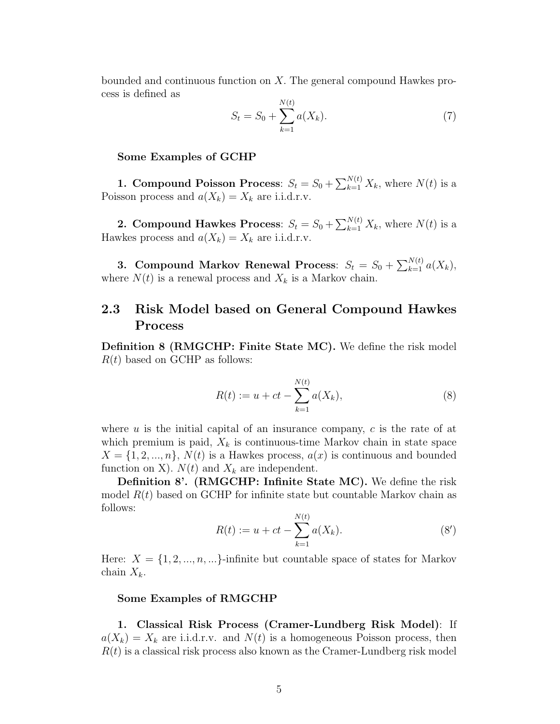bounded and continuous function on X. The general compound Hawkes process is defined as

$$
S_t = S_0 + \sum_{k=1}^{N(t)} a(X_k).
$$
 (7)

#### Some Examples of GCHP

**1. Compound Poisson Process**:  $S_t = S_0 + \sum_{k=1}^{N(t)} X_k$ , where  $N(t)$  is a Poisson process and  $a(X_k) = X_k$  are i.i.d.r.v.

**2. Compound Hawkes Process**:  $S_t = S_0 + \sum_{k=1}^{N(t)} X_k$ , where  $N(t)$  is a Hawkes process and  $a(X_k) = X_k$  are i.i.d.r.v.

3. Compound Markov Renewal Process:  $S_t = S_0 + \sum_{k=1}^{N(t)} a(X_k)$ , where  $N(t)$  is a renewal process and  $X_k$  is a Markov chain.

## 2.3 Risk Model based on General Compound Hawkes Process

Definition 8 (RMGCHP: Finite State MC). We define the risk model  $R(t)$  based on GCHP as follows:

$$
R(t) := u + ct - \sum_{k=1}^{N(t)} a(X_k),
$$
\n(8)

where  $u$  is the initial capital of an insurance company,  $c$  is the rate of at which premium is paid,  $X_k$  is continuous-time Markov chain in state space  $X = \{1, 2, ..., n\}, N(t)$  is a Hawkes process,  $a(x)$  is continuous and bounded function on X).  $N(t)$  and  $X_k$  are independent.

Definition 8'. (RMGCHP: Infinite State MC). We define the risk model  $R(t)$  based on GCHP for infinite state but countable Markov chain as follows:

$$
R(t) := u + ct - \sum_{k=1}^{N(t)} a(X_k).
$$
 (8')

Here:  $X = \{1, 2, ..., n, ...\}$ -infinite but countable space of states for Markov chain  $X_k$ .

#### Some Examples of RMGCHP

1. Classical Risk Process (Cramer-Lundberg Risk Model): If  $a(X_k) = X_k$  are i.i.d.r.v. and  $N(t)$  is a homogeneous Poisson process, then  $R(t)$  is a classical risk process also known as the Cramer-Lundberg risk model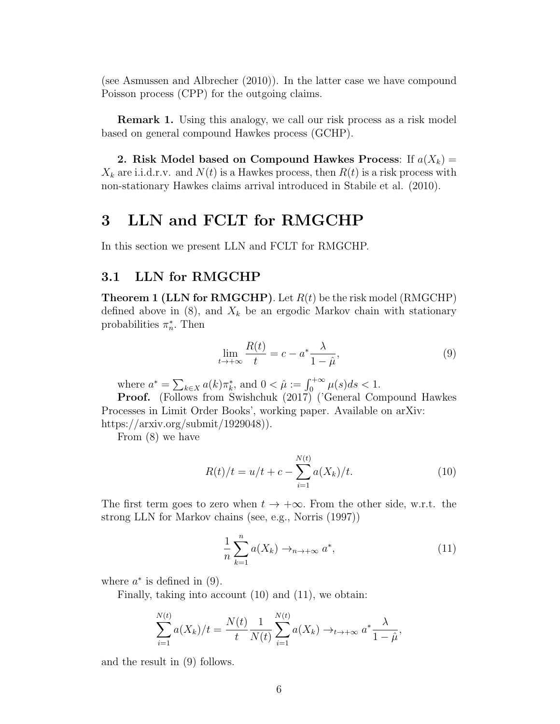(see Asmussen and Albrecher (2010)). In the latter case we have compound Poisson process (CPP) for the outgoing claims.

**Remark 1.** Using this analogy, we call our risk process as a risk model based on general compound Hawkes process (GCHP).

2. Risk Model based on Compound Hawkes Process: If  $a(X_k)$  =  $X_k$  are i.i.d.r.v. and  $N(t)$  is a Hawkes process, then  $R(t)$  is a risk process with non-stationary Hawkes claims arrival introduced in Stabile et al. (2010).

# 3 LLN and FCLT for RMGCHP

In this section we present LLN and FCLT for RMGCHP.

## 3.1 LLN for RMGCHP

**Theorem 1 (LLN for RMGCHP)**. Let  $R(t)$  be the risk model (RMGCHP) defined above in  $(8)$ , and  $X_k$  be an ergodic Markov chain with stationary probabilities  $\pi_n^*$ . Then

$$
\lim_{t \to +\infty} \frac{R(t)}{t} = c - a^* \frac{\lambda}{1 - \hat{\mu}},\tag{9}
$$

where  $a^* = \sum_{k \in X} a(k) \pi_k^*$ , and  $0 < \hat{\mu} := \int_0^{+\infty} \mu(s) ds < 1$ .

Proof. (Follows from Swishchuk (2017) ('General Compound Hawkes Processes in Limit Order Books', working paper. Available on arXiv: https://arxiv.org/submit/1929048)).

From (8) we have

$$
R(t)/t = u/t + c - \sum_{i=1}^{N(t)} a(X_k)/t.
$$
 (10)

The first term goes to zero when  $t \to +\infty$ . From the other side, w.r.t. the strong LLN for Markov chains (see, e.g., Norris (1997))

$$
\frac{1}{n}\sum_{k=1}^{n}a(X_{k})\rightarrow_{n\to+\infty}a^{*},
$$
\n(11)

where  $a^*$  is defined in (9).

Finally, taking into account (10) and (11), we obtain:

$$
\sum_{i=1}^{N(t)} a(X_k)/t = \frac{N(t)}{t} \frac{1}{N(t)} \sum_{i=1}^{N(t)} a(X_k) \to_{t \to +\infty} a^* \frac{\lambda}{1-\hat{\mu}},
$$

and the result in (9) follows.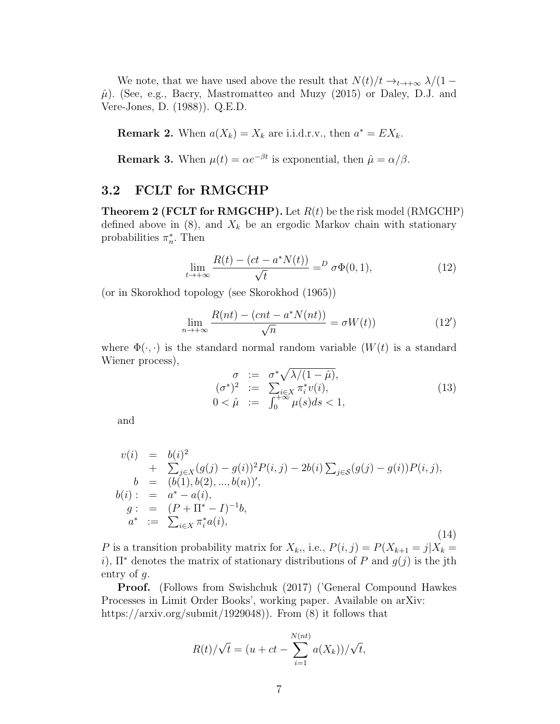We note, that we have used above the result that  $N(t)/t \rightarrow_{t \rightarrow +\infty} \lambda/(1-t)$  $\hat{\mu}$ ). (See, e.g., Bacry, Mastromatteo and Muzy (2015) or Daley, D.J. and Vere-Jones, D. (1988)). Q.E.D.

**Remark 2.** When  $a(X_k) = X_k$  are i.i.d.r.v., then  $a^* = EX_k$ .

**Remark 3.** When  $\mu(t) = \alpha e^{-\beta t}$  is exponential, then  $\hat{\mu} = \alpha/\beta$ .

# 3.2 FCLT for RMGCHP

**Theorem 2 (FCLT for RMGCHP).** Let  $R(t)$  be the risk model (RMGCHP) defined above in  $(8)$ , and  $X_k$  be an ergodic Markov chain with stationary probabilities  $\pi_n^*$ . Then

$$
\lim_{t \to +\infty} \frac{R(t) - (ct - a^*N(t))}{\sqrt{t}} = D \sigma \Phi(0, 1),
$$
\n(12)

(or in Skorokhod topology (see Skorokhod (1965))

$$
\lim_{n \to +\infty} \frac{R(nt) - (cnt - a^*N(nt))}{\sqrt{n}} = \sigma W(t)
$$
\n(12')

where  $\Phi(\cdot, \cdot)$  is the standard normal random variable  $(W(t))$  is a standard Wiener process),

$$
\begin{array}{rcl}\n\sigma & := & \sigma^* \sqrt{\lambda/(1-\hat{\mu})}, \\
(\sigma^*)^2 & := & \sum_{i \in X} \pi_i^* v(i), \\
0 < \hat{\mu} & := & \int_0^{+\infty} \mu(s) ds < 1,\n\end{array} \tag{13}
$$

and

$$
v(i) = b(i)^{2}
$$
  
+  $\sum_{j \in X} (g(j) - g(i))^{2} P(i, j) - 2b(i) \sum_{j \in S} (g(j) - g(i)) P(i, j),$   
\n
$$
b = (b(1), b(2), ..., b(n))',
$$
  
\n
$$
b(i) : = a^{*} - a(i),
$$
  
\n
$$
g : = (P + \Pi^{*} - I)^{-1}b,
$$
  
\n
$$
a^{*} := \sum_{i \in X} \pi_{i}^{*} a(i),
$$
\n(14)

P is a transition probability matrix for  $X_k$ ,, i.e.,  $P(i, j) = P(X_{k+1} = j | X_k =$ i),  $\Pi^*$  denotes the matrix of stationary distributions of P and  $g(j)$  is the jth entry of g.

Proof. (Follows from Swishchuk (2017) ('General Compound Hawkes Processes in Limit Order Books', working paper. Available on arXiv: https://arxiv.org/submit/1929048)). From (8) it follows that

$$
R(t)/\sqrt{t} = (u + ct - \sum_{i=1}^{N(nt)} a(X_k))/\sqrt{t},
$$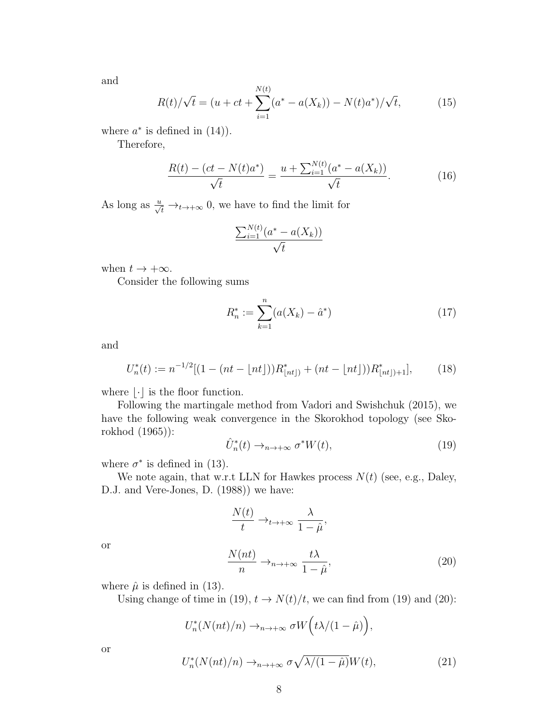and

$$
R(t)/\sqrt{t} = (u + ct + \sum_{i=1}^{N(t)} (a^* - a(X_k)) - N(t)a^*)/\sqrt{t}, \qquad (15)
$$

where  $a^*$  is defined in  $(14)$ .

Therefore,

$$
\frac{R(t) - (ct - N(t)a^*)}{\sqrt{t}} = \frac{u + \sum_{i=1}^{N(t)} (a^* - a(X_k))}{\sqrt{t}}.
$$
 (16)

As long as  $\frac{u}{\sqrt{t}} \rightarrow_{t \rightarrow +\infty} 0$ , we have to find the limit for

$$
\frac{\sum_{i=1}^{N(t)} (a^* - a(X_k))}{\sqrt{t}}
$$

when  $t \to +\infty$ .

Consider the following sums

$$
R_n^* := \sum_{k=1}^n (a(X_k) - \hat{a}^*)
$$
\n(17)

and

$$
U_n^*(t) := n^{-1/2} [(1 - (nt - \lfloor nt \rfloor)) R_{\lfloor nt \rfloor}^* + (nt - \lfloor nt \rfloor)) R_{\lfloor nt \rfloor + 1}^*],\tag{18}
$$

where  $|\cdot|$  is the floor function.

Following the martingale method from Vadori and Swishchuk (2015), we have the following weak convergence in the Skorokhod topology (see Skorokhod (1965)):

$$
\hat{U}_n^*(t) \to_{n \to +\infty} \sigma^* W(t), \tag{19}
$$

where  $\sigma^*$  is defined in (13).

We note again, that w.r.t LLN for Hawkes process  $N(t)$  (see, e.g., Daley, D.J. and Vere-Jones, D. (1988)) we have:

$$
\frac{N(t)}{t} \to_{t \to +\infty} \frac{\lambda}{1 - \hat{\mu}},
$$
\n
$$
\frac{N(nt)}{n} \to_{n \to +\infty} \frac{t\lambda}{1 - \hat{\mu}},
$$
\n(20)

or

where  $\hat{\mu}$  is defined in (13).

Using change of time in (19),  $t \to N(t)/t$ , we can find from (19) and (20):

$$
U_n^*(N(nt)/n) \to_{n \to +\infty} \sigma W(\tau \lambda/(1-\hat{\mu})),
$$

or

$$
U_n^*(N(nt)/n) \to_{n \to +\infty} \sigma \sqrt{\lambda/(1-\hat{\mu})} W(t), \tag{21}
$$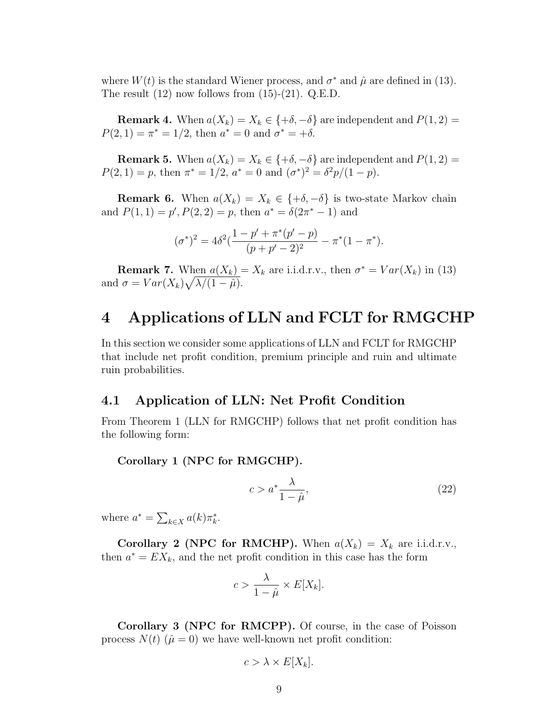where  $W(t)$  is the standard Wiener process, and  $\sigma^*$  and  $\hat{\mu}$  are defined in (13). The result  $(12)$  now follows from  $(15)-(21)$ . Q.E.D.

**Remark 4.** When  $a(X_k) = X_k \in \{+\delta, -\delta\}$  are independent and  $P(1, 2) =$  $P(2, 1) = \pi^* = 1/2$ , then  $a^* = 0$  and  $\sigma^* = +\delta$ .

**Remark 5.** When  $a(X_k) = X_k \in \{+\delta, -\delta\}$  are independent and  $P(1, 2) =$  $P(2, 1) = p$ , then  $\pi^* = 1/2$ ,  $a^* = 0$  and  $(\sigma^*)^2 = \frac{\delta^2 p}{(1 - p)}$ .

**Remark 6.** When  $a(X_k) = X_k \in \{+\delta, -\delta\}$  is two-state Markov chain and  $P(1, 1) = p', P(2, 2) = p$ , then  $a^* = \delta(2\pi^* - 1)$  and

$$
(\sigma^*)^2 = 4\delta^2(\frac{1-p'+\pi^*(p'-p)}{(p+p'-2)^2} - \pi^*(1-\pi^*).
$$

**Remark 7.** When  $a(X_k) = X_k$  are i.i.d.r.v., then  $\sigma^* = Var(X_k)$  in (13) and  $\sigma = Var(X_k)\sqrt{\lambda/(1-\hat{\mu})}$ .

# 4 Applications of LLN and FCLT for RMGCHP

In this section we consider some applications of LLN and FCLT for RMGCHP that include net profit condition, premium principle and ruin and ultimate ruin probabilities.

## 4.1 Application of LLN: Net Profit Condition

From Theorem 1 (LLN for RMGCHP) follows that net profit condition has the following form:

#### Corollary 1 (NPC for RMGCHP).

$$
c > a^* \frac{\lambda}{1 - \hat{\mu}},\tag{22}
$$

where  $a^* = \sum_{k \in X} a(k) \pi_k^*$ .

Corollary 2 (NPC for RMCHP). When  $a(X_k) = X_k$  are i.i.d.r.v., then  $a^* = EX_k$ , and the net profit condition in this case has the form

$$
c > \frac{\lambda}{1 - \hat{\mu}} \times E[X_k].
$$

Corollary 3 (NPC for RMCPP). Of course, in the case of Poisson process  $N(t)$  ( $\hat{\mu} = 0$ ) we have well-known net profit condition:

$$
c > \lambda \times E[X_k].
$$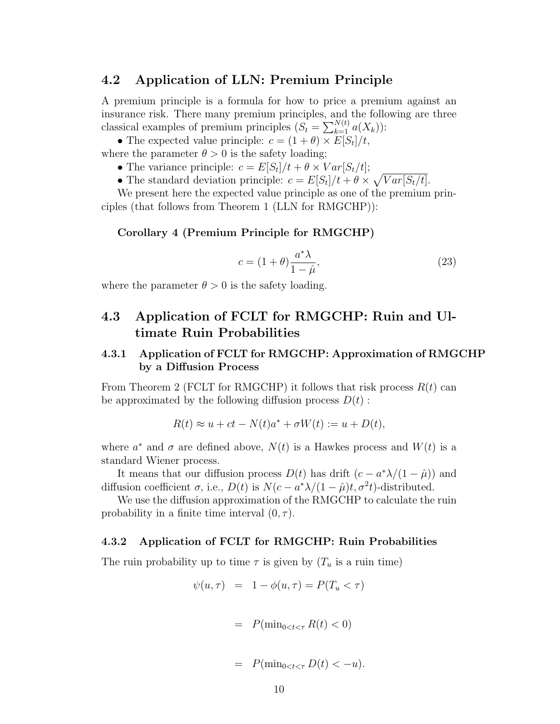## 4.2 Application of LLN: Premium Principle

A premium principle is a formula for how to price a premium against an insurance risk. There many premium principles, and the following are three classical examples of premium principles  $(S_t = \sum_{k=1}^{N(t)} a(X_k))$ :

• The expected value principle:  $c = (1 + \theta) \times E[S_t]/t$ , where the parameter  $\theta > 0$  is the safety loading;

• The variance principle:  $c = E[S_t]/t + \theta \times Var[S_t/t];$ 

• The standard deviation principle:  $c = E[S_t]/t + \theta \times \sqrt{Var[S_t/t]}$ .

We present here the expected value principle as one of the premium principles (that follows from Theorem 1 (LLN for RMGCHP)):

#### Corollary 4 (Premium Principle for RMGCHP)

$$
c = (1 + \theta) \frac{a^* \lambda}{1 - \hat{\mu}},\tag{23}
$$

where the parameter  $\theta > 0$  is the safety loading.

# 4.3 Application of FCLT for RMGCHP: Ruin and Ultimate Ruin Probabilities

## 4.3.1 Application of FCLT for RMGCHP: Approximation of RMGCHP by a Diffusion Process

From Theorem 2 (FCLT for RMGCHP) it follows that risk process  $R(t)$  can be approximated by the following diffusion process  $D(t)$ :

$$
R(t) \approx u + ct - N(t)a^* + \sigma W(t) := u + D(t),
$$

where  $a^*$  and  $\sigma$  are defined above,  $N(t)$  is a Hawkes process and  $W(t)$  is a standard Wiener process.

It means that our diffusion process  $D(t)$  has drift  $(c - a^*\lambda/(1 - \hat{\mu}))$  and diffusion coefficient  $\sigma$ , i.e.,  $D(t)$  is  $N(c-a^*\lambda/(1-\hat{\mu})t, \sigma^2t)$ -distributed.

We use the diffusion approximation of the RMGCHP to calculate the ruin probability in a finite time interval  $(0, \tau)$ .

#### 4.3.2 Application of FCLT for RMGCHP: Ruin Probabilities

The ruin probability up to time  $\tau$  is given by  $(T_u$  is a ruin time)

$$
\psi(u,\tau) = 1 - \phi(u,\tau) = P(T_u < \tau)
$$

$$
= P(\min_{0 < t < \tau} R(t) < 0)
$$

$$
= P(\min_{0 < t < \tau} D(t) < -u).
$$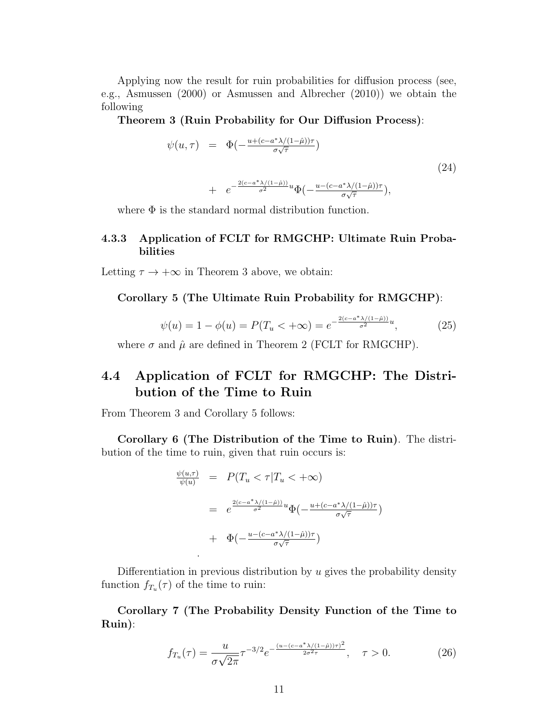Applying now the result for ruin probabilities for diffusion process (see, e.g., Asmussen (2000) or Asmussen and Albrecher (2010)) we obtain the following

Theorem 3 (Ruin Probability for Our Diffusion Process):

$$
\psi(u,\tau) = \Phi\left(-\frac{u + (c - a^*)/(1 - \hat{\mu}))\tau}{\sigma\sqrt{\tau}}\right)
$$
  
+ 
$$
e^{-\frac{2(c - a^*)/(1 - \hat{\mu}))}{\sigma^2}u}\Phi\left(-\frac{u - (c - a^*)/(1 - \hat{\mu}))\tau}{\sigma\sqrt{\tau}}\right),
$$
 (24)

where  $\Phi$  is the standard normal distribution function.

### 4.3.3 Application of FCLT for RMGCHP: Ultimate Ruin Probabilities

Letting  $\tau \to +\infty$  in Theorem 3 above, we obtain:

#### Corollary 5 (The Ultimate Ruin Probability for RMGCHP):

$$
\psi(u) = 1 - \phi(u) = P(T_u < +\infty) = e^{-\frac{2(c - a^* \lambda/(1 - \hat{\mu}))}{\sigma^2}u},
$$
\n(25)

where  $\sigma$  and  $\hat{\mu}$  are defined in Theorem 2 (FCLT for RMGCHP).

# 4.4 Application of FCLT for RMGCHP: The Distribution of the Time to Ruin

From Theorem 3 and Corollary 5 follows:

.

Corollary 6 (The Distribution of the Time to Ruin). The distribution of the time to ruin, given that ruin occurs is:

$$
\frac{\psi(u,\tau)}{\psi(u)} = P(T_u < \tau | T_u < +\infty)
$$
\n
$$
= e^{\frac{2(c-a^*)}{\sigma^2}u} \Phi\left(-\frac{u + (c-a^*)}{\sigma\sqrt{\tau}}\right)
$$
\n
$$
+ \Phi\left(-\frac{u - (c-a^*)}{\sigma\sqrt{\tau}}\right)
$$

Differentiation in previous distribution by  $u$  gives the probability density function  $f_{T_u}(\tau)$  of the time to ruin:

Corollary 7 (The Probability Density Function of the Time to Ruin):

$$
f_{T_u}(\tau) = \frac{u}{\sigma\sqrt{2\pi}} \tau^{-3/2} e^{-\frac{(u - (c - a^*)/((1 - \hat{\mu}))\tau)^2}{2\sigma^2 \tau}}, \quad \tau > 0.
$$
 (26)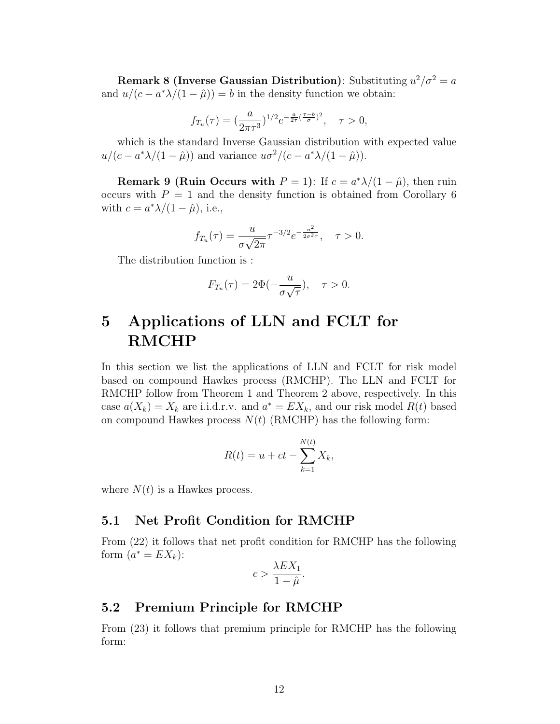Remark 8 (Inverse Gaussian Distribution): Substituting  $u^2/\sigma^2 = a$ and  $u/(c - a^*\lambda/(1 - \hat{\mu})) = b$  in the density function we obtain:

$$
f_{T_u}(\tau) = (\frac{a}{2\pi\tau^3})^{1/2} e^{-\frac{a}{2\tau}(\frac{\tau-b}{\sigma})^2}, \quad \tau > 0,
$$

which is the standard Inverse Gaussian distribution with expected value  $u/(c - a^*\lambda/(1 - \hat{\mu}))$  and variance  $u\sigma^2/(c - a^*\lambda/(1 - \hat{\mu})).$ 

**Remark 9 (Ruin Occurs with**  $P = 1$ ): If  $c = a^* \lambda/(1 - \hat{\mu})$ , then ruin occurs with  $P = 1$  and the density function is obtained from Corollary 6 with  $c = a^* \lambda/(1 - \hat{\mu})$ , i.e.,

$$
f_{T_u}(\tau) = \frac{u}{\sigma\sqrt{2\pi}} \tau^{-3/2} e^{-\frac{u^2}{2\sigma^2 \tau}}, \quad \tau > 0.
$$

The distribution function is :

$$
F_{T_u}(\tau) = 2\Phi(-\frac{u}{\sigma\sqrt{\tau}}), \quad \tau > 0.
$$

# 5 Applications of LLN and FCLT for RMCHP

In this section we list the applications of LLN and FCLT for risk model based on compound Hawkes process (RMCHP). The LLN and FCLT for RMCHP follow from Theorem 1 and Theorem 2 above, respectively. In this case  $a(X_k) = X_k$  are i.i.d.r.v. and  $a^* = EX_k$ , and our risk model  $R(t)$  based on compound Hawkes process  $N(t)$  (RMCHP) has the following form:

$$
R(t) = u + ct - \sum_{k=1}^{N(t)} X_k,
$$

where  $N(t)$  is a Hawkes process.

## 5.1 Net Profit Condition for RMCHP

From (22) it follows that net profit condition for RMCHP has the following form  $(a^* = EX_k)$ :

$$
c > \frac{\lambda EX_1}{1 - \hat{\mu}}.
$$

## 5.2 Premium Principle for RMCHP

From (23) it follows that premium principle for RMCHP has the following form: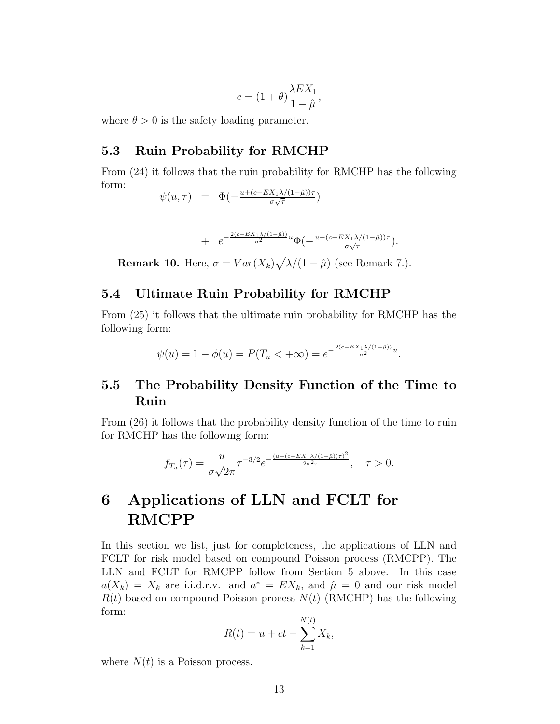$$
c = (1 + \theta) \frac{\lambda E X_1}{1 - \hat{\mu}},
$$

where  $\theta > 0$  is the safety loading parameter.

## 5.3 Ruin Probability for RMCHP

From (24) it follows that the ruin probability for RMCHP has the following form:

$$
\psi(u,\tau) = \Phi(-\frac{u + (c - EX_1 \lambda/(1-\hat{\mu}))\tau}{\sigma \sqrt{\tau}})
$$

+ 
$$
e^{-\frac{2(c - EX_1\lambda/(1-\hat{\mu}))}{\sigma^2}u}\Phi\left(-\frac{u - (c - EX_1\lambda/(1-\hat{\mu}))\tau}{\sigma\sqrt{\tau}}\right).
$$

**Remark 10.** Here,  $\sigma = Var(X_k)\sqrt{\lambda/(1-\hat{\mu})}$  (see Remark 7.).

## 5.4 Ultimate Ruin Probability for RMCHP

From (25) it follows that the ultimate ruin probability for RMCHP has the following form:

$$
\psi(u) = 1 - \phi(u) = P(T_u < +\infty) = e^{-\frac{2(c - EX_1 \lambda/(1 - \hat{\mu}))}{\sigma^2}u}.
$$

## 5.5 The Probability Density Function of the Time to Ruin

From (26) it follows that the probability density function of the time to ruin for RMCHP has the following form:

$$
f_{T_u}(\tau) = \frac{u}{\sigma\sqrt{2\pi}} \tau^{-3/2} e^{-\frac{(u - (c - EX_1\lambda/(1 - \hat{\mu}))\tau)^2}{2\sigma^2 \tau}}, \quad \tau > 0.
$$

# 6 Applications of LLN and FCLT for RMCPP

In this section we list, just for completeness, the applications of LLN and FCLT for risk model based on compound Poisson process (RMCPP). The LLN and FCLT for RMCPP follow from Section 5 above. In this case  $a(X_k) = X_k$  are i.i.d.r.v. and  $a^* = EX_k$ , and  $\hat{\mu} = 0$  and our risk model  $R(t)$  based on compound Poisson process  $N(t)$  (RMCHP) has the following form:

$$
R(t) = u + ct - \sum_{k=1}^{N(t)} X_k,
$$

where  $N(t)$  is a Poisson process.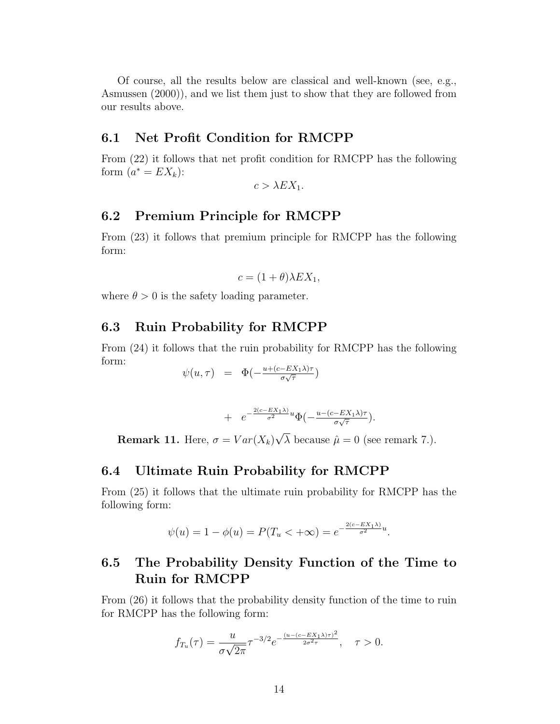Of course, all the results below are classical and well-known (see, e.g., Asmussen (2000)), and we list them just to show that they are followed from our results above.

## 6.1 Net Profit Condition for RMCPP

From (22) it follows that net profit condition for RMCPP has the following form  $(a^* = EX_k)$ :

 $c > \lambda EX_1$ .

## 6.2 Premium Principle for RMCPP

From (23) it follows that premium principle for RMCPP has the following form:

$$
c = (1 + \theta)\lambda EX_1,
$$

where  $\theta > 0$  is the safety loading parameter.

## 6.3 Ruin Probability for RMCPP

From (24) it follows that the ruin probability for RMCPP has the following form:

$$
\psi(u,\tau) = \Phi(-\frac{u + (c - EX_1\lambda)\tau}{\sigma\sqrt{\tau}})
$$

+ 
$$
e^{-\frac{2(c - EX_1\lambda)}{\sigma^2}u}\Phi\left(-\frac{u - (c - EX_1\lambda)\tau}{\sigma\sqrt{\tau}}\right).
$$

**Remark 11.** Here,  $\sigma = Var(X_k)$  $\lambda$  because  $\hat{\mu} = 0$  (see remark 7.).

## 6.4 Ultimate Ruin Probability for RMCPP

From (25) it follows that the ultimate ruin probability for RMCPP has the following form:

$$
\psi(u) = 1 - \phi(u) = P(T_u < +\infty) = e^{-\frac{2(c - EX_1\lambda)}{\sigma^2}u}.
$$

## 6.5 The Probability Density Function of the Time to Ruin for RMCPP

From (26) it follows that the probability density function of the time to ruin for RMCPP has the following form:

$$
f_{T_u}(\tau) = \frac{u}{\sigma\sqrt{2\pi}} \tau^{-3/2} e^{-\frac{(u - (c - EX_1\lambda)\tau)^2}{2\sigma^2 \tau}}, \quad \tau > 0.
$$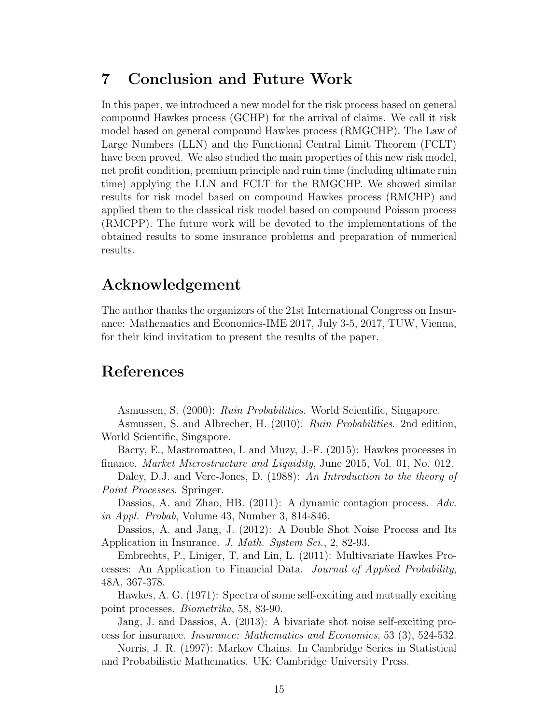# 7 Conclusion and Future Work

In this paper, we introduced a new model for the risk process based on general compound Hawkes process (GCHP) for the arrival of claims. We call it risk model based on general compound Hawkes process (RMGCHP). The Law of Large Numbers (LLN) and the Functional Central Limit Theorem (FCLT) have been proved. We also studied the main properties of this new risk model, net profit condition, premium principle and ruin time (including ultimate ruin time) applying the LLN and FCLT for the RMGCHP. We showed similar results for risk model based on compound Hawkes process (RMCHP) and applied them to the classical risk model based on compound Poisson process (RMCPP). The future work will be devoted to the implementations of the obtained results to some insurance problems and preparation of numerical results.

# Acknowledgement

The author thanks the organizers of the 21st International Congress on Insurance: Mathematics and Economics-IME 2017, July 3-5, 2017, TUW, Vienna, for their kind invitation to present the results of the paper.

# References

Asmussen, S. (2000): Ruin Probabilities. World Scientific, Singapore.

Asmussen, S. and Albrecher, H. (2010): Ruin Probabilities. 2nd edition, World Scientific, Singapore.

Bacry, E., Mastromatteo, I. and Muzy, J.-F. (2015): Hawkes processes in finance. Market Microstructure and Liquidity, June 2015, Vol. 01, No. 012.

Daley, D.J. and Vere-Jones, D. (1988): An Introduction to the theory of Point Processes. Springer.

Dassios, A. and Zhao, HB. (2011): A dynamic contagion process. Adv. in Appl. Probab, Volume 43, Number 3, 814-846.

Dassios, A. and Jang, J. (2012): A Double Shot Noise Process and Its Application in Insurance. J. Math. System Sci., 2, 82-93.

Embrechts, P., Liniger, T. and Lin, L. (2011): Multivariate Hawkes Processes: An Application to Financial Data. Journal of Applied Probability, 48A, 367-378.

Hawkes, A. G. (1971): Spectra of some self-exciting and mutually exciting point processes. Biometrika, 58, 83-90.

Jang, J. and Dassios, A. (2013): A bivariate shot noise self-exciting process for insurance. Insurance: Mathematics and Economics, 53 (3), 524-532.

Norris, J. R. (1997): Markov Chains. In Cambridge Series in Statistical and Probabilistic Mathematics. UK: Cambridge University Press.